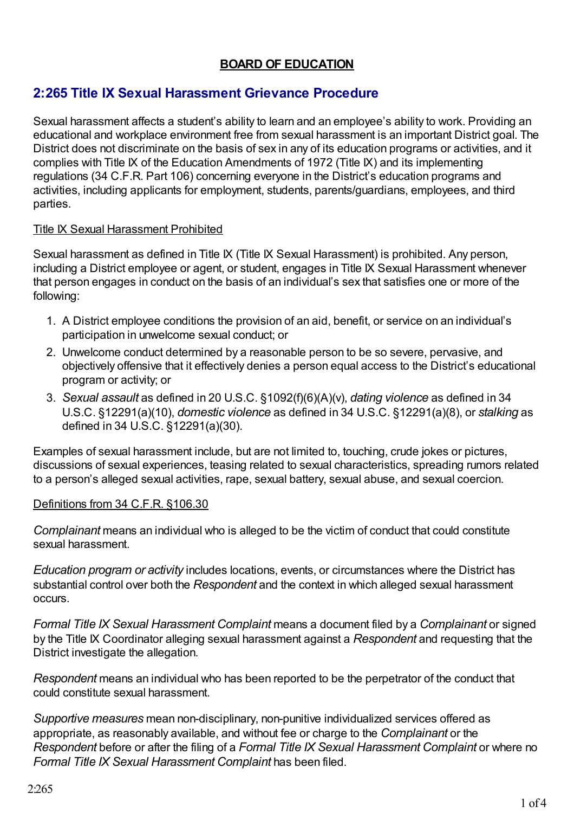# **BOARD OF EDUCATION**

# **2:265 Title IX Sexual Harassment Grievance Procedure**

Sexual harassment affects a student's ability to learn and an employee's ability to work. Providing an educational and workplace environment free from sexual harassment is an important District goal. The District does not discriminate on the basis of sex in any of its education programs or activities, and it complies with Title IX of the Education Amendments of 1972 (Title IX) and its implementing regulations (34 C.F.R. Part 106) concerning everyone in the District's education programs and activities, including applicants for employment, students, parents/guardians, employees, and third parties.

### Title IX Sexual Harassment Prohibited

Sexual harassment as defined in Title IX (Title IX Sexual Harassment) is prohibited. Any person, including a District employee or agent, or student, engages in Title IX Sexual Harassment whenever that person engages in conduct on the basis of an individual's sex that satisfies one or more of the following:

- 1. A District employee conditions the provision of an aid, benefit, or service on an individual's participation in unwelcome sexual conduct; or
- 2. Unwelcome conduct determined by a reasonable person to be so severe, pervasive, and objectively offensive that it effectively denies a person equal access to the District's educational program or activity; or
- 3. *Sexual assault* as defined in 20 U.S.C. §1092(f)(6)(A)(v), *dating violence* as defined in 34 U.S.C. §12291(a)(10), *domestic violence* as defined in 34 U.S.C. §12291(a)(8), or *stalking* as defined in 34 U.S.C. §12291(a)(30).

Examples of sexual harassment include, but are not limited to, touching, crude jokes or pictures, discussions of sexual experiences, teasing related to sexual characteristics, spreading rumors related to a person's alleged sexual activities, rape, sexual battery, sexual abuse, and sexual coercion.

### Definitions from 34 C.F.R. §106.30

*Complainant* means an individual who is alleged to be the victim of conduct that could constitute sexual harassment.

*Education program or activity* includes locations, events, or circumstances where the District has substantial control over both the *Respondent* and the context in which alleged sexual harassment occurs.

*Formal Title IX Sexual Harassment Complaint* means a document filed by a *Complainant* or signed by the Title IX Coordinator alleging sexual harassment against a *Respondent* and requesting that the District investigate the allegation.

*Respondent* means an individual who has been reported to be the perpetrator of the conduct that could constitute sexual harassment.

*Supportive measures* mean non-disciplinary, non-punitive individualized services offered as appropriate, as reasonably available, and without fee or charge to the *Complainant* or the *Respondent* before or after the filing of a *Formal Title IX Sexual Harassment Complaint* or where no *Formal Title IX Sexual Harassment Complaint* has been filed.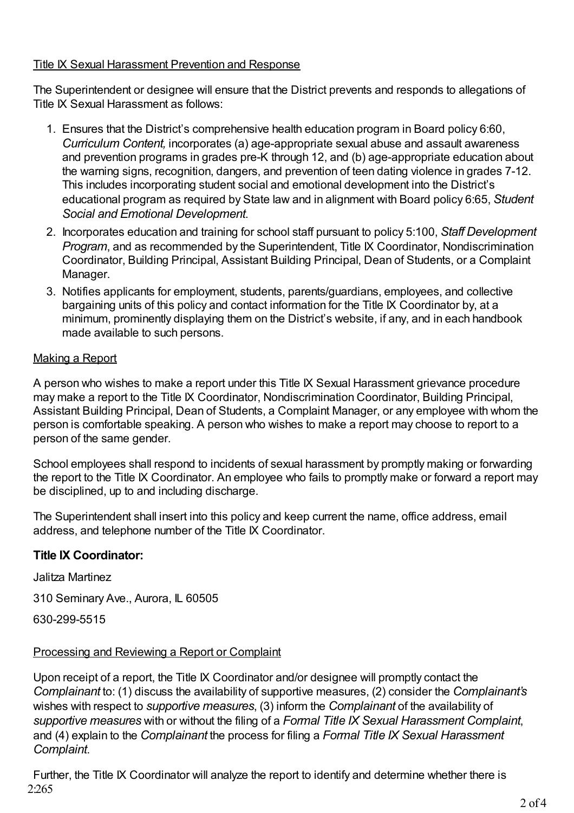### Title IX Sexual Harassment Prevention and Response

The Superintendent or designee will ensure that the District prevents and responds to allegations of Title IX Sexual Harassment as follows:

- 1. Ensures that the District's comprehensive health education program in Board policy 6:60, *Curriculum Content,* incorporates (a) age-appropriate sexual abuse and assault awareness and prevention programs in grades pre-K through 12, and (b) age-appropriate education about the warning signs, recognition, dangers, and prevention of teen dating violence in grades 7-12. This includes incorporating student social and emotional development into the District's educational program as required by State law and in alignment with Board policy 6:65, *Student Social and Emotional Development*.
- 2. Incorporates education and training for school staff pursuant to policy 5:100, *Staff Development Program*, and as recommended by the Superintendent, Title IX Coordinator, Nondiscrimination Coordinator, Building Principal, Assistant Building Principal, Dean of Students, or a Complaint Manager.
- 3. Notifies applicants for employment, students, parents/guardians, employees, and collective bargaining units of this policy and contact information for the Title IX Coordinator by, at a minimum, prominently displaying them on the District's website, if any, and in each handbook made available to such persons.

## Making a Report

A person who wishes to make a report under this Title IX Sexual Harassment grievance procedure may make a report to the Title IX Coordinator, Nondiscrimination Coordinator, Building Principal, Assistant Building Principal, Dean of Students, a Complaint Manager, or any employee with whom the person is comfortable speaking. A person who wishes to make a report may choose to report to a person of the same gender.

School employees shall respond to incidents of sexual harassment by promptly making or forwarding the report to the Title IX Coordinator. An employee who fails to promptly make or forward a report may be disciplined, up to and including discharge.

The Superintendent shall insert into this policy and keep current the name, office address, email address, and telephone number of the Title IX Coordinator.

## **Title IX Coordinator:**

Jalitza Martinez 310 Seminary Ave., Aurora, IL 60505

630-299-5515

## Processing and Reviewing a Report or Complaint

Upon receipt of a report, the Title IX Coordinator and/or designee will promptly contact the *Complainant* to: (1) discuss the availability of supportive measures, (2) consider the *Complainant's* wishes with respect to *supportive measures*, (3) inform the *Complainant* of the availability of *supportive measures* with or without the filing of a *Formal Title IX Sexual Harassment Complaint*, and (4) explain to the *Complainant* the process for filing a *Formal Title IX Sexual Harassment Complaint*.

Further, the Title IX Coordinator will analyze the report to identify and determine whether there is 2:265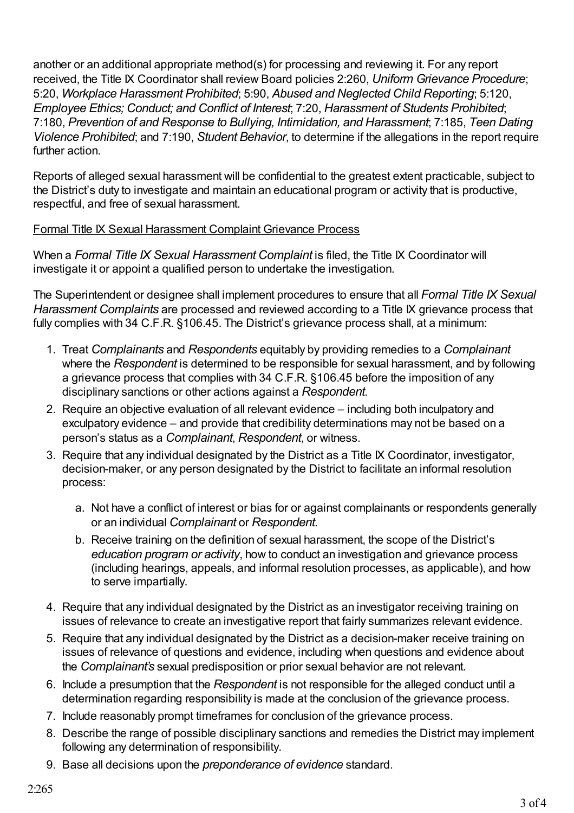another or an additional appropriate method(s) for processing and reviewing it. For any report received, the Title IX Coordinator shall review Board policies 2:260, *Uniform Grievance Procedure*; 5:20, *Workplace Harassment Prohibited*; 5:90, *Abused and Neglected Child Reporting*; 5:120, *Employee Ethics; Conduct; and Conflict of Interest*; 7:20, *Harassment of Students Prohibited*; 7:180, *Prevention of and Response to Bullying, Intimidation, and Harassment*; 7:185, *Teen Dating Violence Prohibited*; and 7:190, *Student Behavior*, to determine if the allegations in the report require further action.

Reports of alleged sexual harassment will be confidential to the greatest extent practicable, subject to the District's duty to investigate and maintain an educational program or activity that is productive, respectful, and free of sexual harassment.

### Formal Title IX Sexual Harassment Complaint Grievance Process

When a *Formal Title IX Sexual Harassment Complaint* is filed, the Title IX Coordinator will investigate it or appoint a qualified person to undertake the investigation.

The Superintendent or designee shall implement procedures to ensure that all *Formal Title IX Sexual Harassment Complaints* are processed and reviewed according to a Title IX grievance process that fully complies with 34 C.F.R. §106.45. The District's grievance process shall, at a minimum:

- 1. Treat *Complainants* and *Respondents* equitably by providing remedies to a *Complainant* where the *Respondent* is determined to be responsible for sexual harassment, and by following a grievance process that complies with 34 C.F.R. §106.45 before the imposition of any disciplinary sanctions or other actions against a *Respondent*.
- 2. Require an objective evaluation of all relevant evidence including both inculpatory and exculpatory evidence – and provide that credibility determinations may not be based on a person's status as a *Complainant*, *Respondent*, or witness.
- 3. Require that any individual designated by the District as a Title IX Coordinator, investigator, decision-maker, or any person designated by the District to facilitate an informal resolution process:
	- a. Not have a conflict of interest or bias for or against complainants or respondents generally or an individual *Complainant* or *Respondent*.
	- b. Receive training on the definition of sexual harassment, the scope of the District's *education program or activity*, how to conduct an investigation and grievance process (including hearings, appeals, and informal resolution processes, as applicable), and how to serve impartially.
- 4. Require that any individual designated by the District as an investigator receiving training on issues of relevance to create an investigative report that fairly summarizes relevant evidence.
- 5. Require that any individual designated by the District as a decision-maker receive training on issues of relevance of questions and evidence, including when questions and evidence about the *Complainant's* sexual predisposition or prior sexual behavior are not relevant.
- 6. Include a presumption that the *Respondent* is not responsible for the alleged conduct until a determination regarding responsibility is made at the conclusion of the grievance process.
- 7. Include reasonably prompt timeframes for conclusion of the grievance process.
- 8. Describe the range of possible disciplinary sanctions and remedies the District may implement following any determination of responsibility.
- 9. Base all decisions upon the *preponderance of evidence* standard.